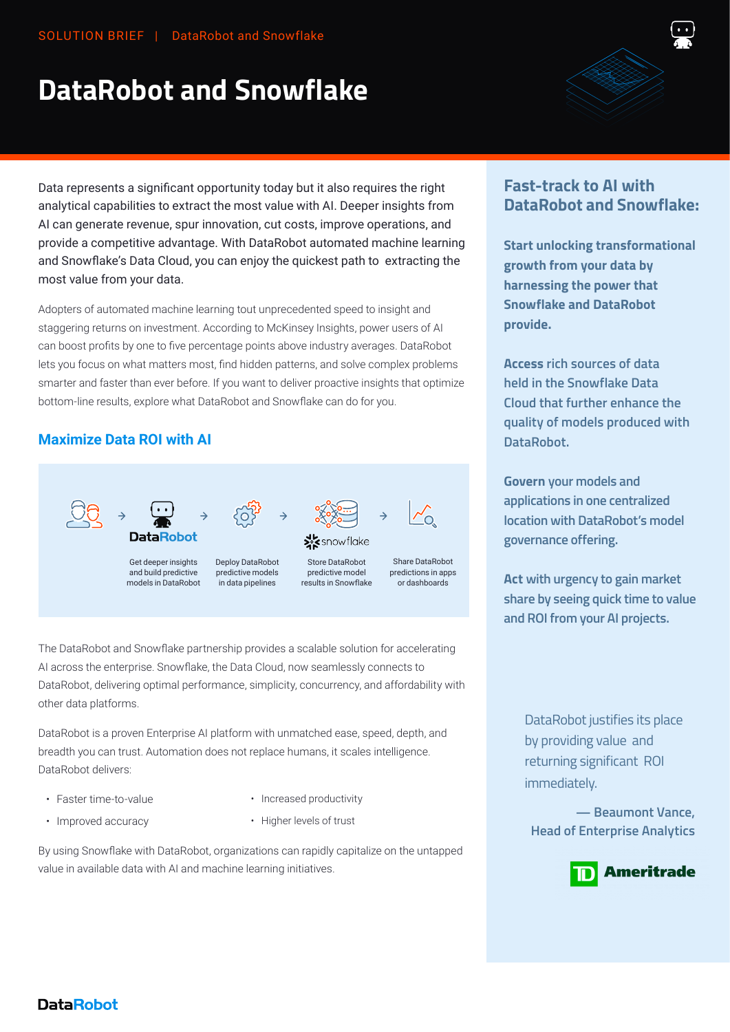# **DataRobot and Snowflake**



Data represents a significant opportunity today but it also requires the right analytical capabilities to extract the most value with AI. Deeper insights from AI can generate revenue, spur innovation, cut costs, improve operations, and provide a competitive advantage. With DataRobot automated machine learning and Snowflake's Data Cloud, you can enjoy the quickest path to extracting the most value from your data.

Adopters of automated machine learning tout unprecedented speed to insight and staggering returns on investment. According to McKinsey Insights, power users of AI can boost profits by one to five percentage points above industry averages. DataRobot lets you focus on what matters most, find hidden patterns, and solve complex problems smarter and faster than ever before. If you want to deliver proactive insights that optimize bottom-line results, explore what DataRobot and Snowflake can do for you.

## **Maximize Data ROI with AI**



The DataRobot and Snowflake partnership provides a scalable solution for accelerating AI across the enterprise. Snowflake, the Data Cloud, now seamlessly connects to DataRobot, delivering optimal performance, simplicity, concurrency, and affordability with other data platforms.

DataRobot is a proven Enterprise AI platform with unmatched ease, speed, depth, and breadth you can trust. Automation does not replace humans, it scales intelligence. DataRobot delivers:

- Faster time-to-value
- Increased productivity
- Improved accuracy
- Higher levels of trust

By using Snowflake with DataRobot, organizations can rapidly capitalize on the untapped value in available data with AI and machine learning initiatives.

# **Fast-track to AI with DataRobot and Snowflake:**

**Start unlocking transformational growth from your data by harnessing the power that Snowflake and DataRobot provide.**

**Access rich sources of data held in the Snowflake Data Cloud that further enhance the quality of models produced with DataRobot.**

**Govern your models and applications in one centralized location with DataRobot's model governance offering.** 

**Act with urgency to gain market share by seeing quick time to value and ROI from your AI projects.** 

> DataRobot justifies its place by providing value and returning significant ROI immediately.

**— Beaumont Vance, Head of Enterprise Analytics**



## **DataRobot**